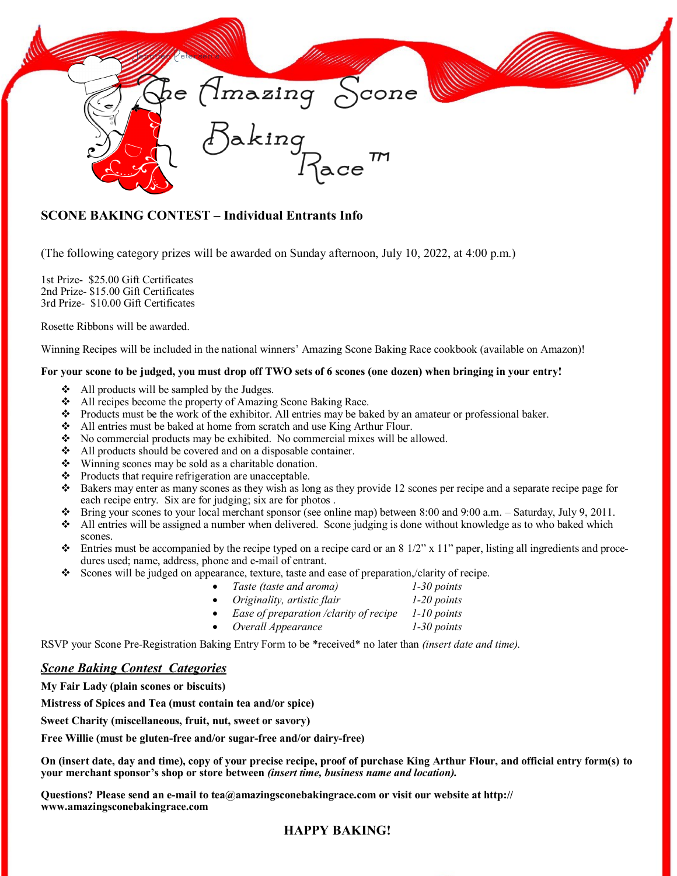

## **SCONE BAKING CONTEST – Individual Entrants Info**

(The following category prizes will be awarded on Sunday afternoon, July 10, 2022, at 4:00 p.m.)

1st Prize- \$25.00 Gift Certificates 2nd Prize- \$15.00 Gift Certificates 3rd Prize- \$10.00 Gift Certificates

Rosette Ribbons will be awarded.

Winning Recipes will be included in the national winners' Amazing Scone Baking Race cookbook (available on Amazon)!

## **For your scone to be judged, you must drop off TWO sets of 6 scones (one dozen) when bringing in your entry!**

- ❖ All products will be sampled by the Judges.
- ❖ All recipes become the property of Amazing Scone Baking Race.
- ❖ Products must be the work of the exhibitor. All entries may be baked by an amateur or professional baker.
- ❖ All entries must be baked at home from scratch and use King Arthur Flour.
- $\bullet$  No commercial products may be exhibited. No commercial mixes will be allowed.
- ❖ All products should be covered and on a disposable container.
- ❖ Winning scones may be sold as a charitable donation.
- ❖ Products that require refrigeration are unacceptable.
- ❖ Bakers may enter as many scones as they wish as long as they provide 12 scones per recipe and a separate recipe page for each recipe entry. Six are for judging; six are for photos .
- ❖ Bring your scones to your local merchant sponsor (see online map) between 8:00 and 9:00 a.m. Saturday, July 9, 2011.
- ❖ All entries will be assigned a number when delivered. Scone judging is done without knowledge as to who baked which scones.
- $\bullet$  Entries must be accompanied by the recipe typed on a recipe card or an 8 1/2" x 11" paper, listing all ingredients and procedures used; name, address, phone and e-mail of entrant.
- ❖ Scones will be judged on appearance, texture, taste and ease of preparation,/clarity of recipe.
	- *Taste (taste and aroma) 1-30 points*
	- *Originality, artistic flair 1-20 points*
	- *Ease of preparation /clarity of recipe 1-10 points*
	- *Overall Appearance 1-30 points*

RSVP your Scone Pre-Registration Baking Entry Form to be \*received\* no later than *(insert date and time).*

## *Scone Baking Contest Categories*

**My Fair Lady (plain scones or biscuits)**

**Mistress of Spices and Tea (must contain tea and/or spice)**

**Sweet Charity (miscellaneous, fruit, nut, sweet or savory)**

**Free Willie (must be gluten-free and/or sugar-free and/or dairy-free)**

**On (insert date, day and time), copy of your precise recipe, proof of purchase King Arthur Flour, and official entry form(s) to your merchant sponsor's shop or store between** *(insert time, business name and location).*

**Questions? Please send an e-mail to tea@amazingsconebakingrace.com or visit our website at http:// www.amazingsconebakingrace.com**

## **HAPPY BAKING!**